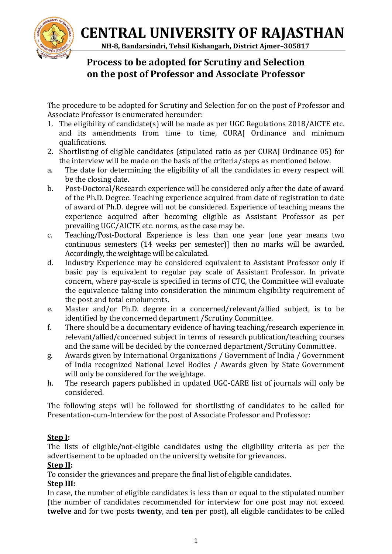

**CENTRAL UNIVERSITY OF RAJASTHAN**

 **NH-8, Bandarsindri, Tehsil Kishangarh, District Ajmer–305817**

## **Process to be adopted for Scrutiny and Selection on the post of Professor and Associate Professor**

The procedure to be adopted for Scrutiny and Selection for on the post of Professor and Associate Professor is enumerated hereunder:

- 1. The eligibility of candidate(s) will be made as per UGC Regulations 2018/AICTE etc. and its amendments from time to time, CURAJ Ordinance and minimum qualifications.
- 2. Shortlisting of eligible candidates (stipulated ratio as per CURAJ Ordinance 05) for the interview will be made on the basis of the criteria/steps as mentioned below.
- a. The date for determining the eligibility of all the candidates in every respect will be the closing date.
- b. Post-Doctoral/Research experience will be considered only after the date of award of the Ph.D. Degree. Teaching experience acquired from date of registration to date of award of Ph.D. degree will not be considered. Experience of teaching means the experience acquired after becoming eligible as Assistant Professor as per prevailing UGC/AICTE etc. norms, as the case may be.
- c. Teaching/Post-Doctoral Experience is less than one year [one year means two continuous semesters (14 weeks per semester)] then no marks will be awarded. Accordingly, the weightage will be calculated.
- d. Industry Experience may be considered equivalent to Assistant Professor only if basic pay is equivalent to regular pay scale of Assistant Professor. In private concern, where pay-scale is specified in terms of CTC, the Committee will evaluate the equivalence taking into consideration the minimum eligibility requirement of the post and total emoluments.
- e. Master and/or Ph.D. degree in a concerned/relevant/allied subject, is to be identified by the concerned department /Scrutiny Committee.
- f. There should be a documentary evidence of having teaching/research experience in relevant/allied/concerned subject in terms of research publication/teaching courses and the same will be decided by the concerned department/Scrutiny Committee.
- g. Awards given by International Organizations / Government of India / Government of India recognized National Level Bodies / Awards given by State Government will only be considered for the weightage.
- h. The research papers published in updated UGC-CARE list of journals will only be considered.

The following steps will be followed for shortlisting of candidates to be called for Presentation-cum-Interview for the post of Associate Professor and Professor:

### **Step I:**

The lists of eligible/not-eligible candidates using the eligibility criteria as per the advertisement to be uploaded on the university website for grievances.

#### **Step II:**

To consider the grievances and prepare the final list of eligible candidates.

#### **Step III:**

In case, the number of eligible candidates is less than or equal to the stipulated number (the number of candidates recommended for interview for one post may not exceed **twelve** and for two posts **twenty**, and **ten** per post), all eligible candidates to be called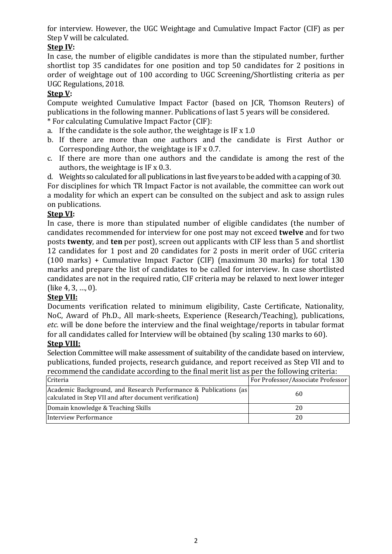for interview. However, the UGC Weightage and Cumulative Impact Factor (CIF) as per Step V will be calculated.

#### **Step IV:**

In case, the number of eligible candidates is more than the stipulated number, further shortlist top 35 candidates for one position and top 50 candidates for 2 positions in order of weightage out of 100 according to UGC Screening/Shortlisting criteria as per UGC Regulations, 2018.

#### **Step V:**

Compute weighted Cumulative Impact Factor (based on JCR, Thomson Reuters) of publications in the following manner. Publications of last 5 years will be considered.

\* For calculating Cumulative Impact Factor (CIF):

- a. If the candidate is the sole author, the weightage is IF x 1.0
- b. If there are more than one authors and the candidate is First Author or Corresponding Author, the weightage is IF x 0.7.
- c. If there are more than one authors and the candidate is among the rest of the authors, the weightage is IF x 0.3.
- d. Weights so calculated for all publications in last five years to be added with a capping of 30.

For disciplines for which TR Impact Factor is not available, the committee can work out a modality for which an expert can be consulted on the subject and ask to assign rules on publications.

#### **Step VI:**

In case, there is more than stipulated number of eligible candidates (the number of candidates recommended for interview for one post may not exceed **twelve** and for two posts **twenty**, and **ten** per post), screen out applicants with CIF less than 5 and shortlist 12 candidates for 1 post and 20 candidates for 2 posts in merit order of UGC criteria (100 marks) + Cumulative Impact Factor (CIF) (maximum 30 marks) for total 130 marks and prepare the list of candidates to be called for interview. In case shortlisted candidates are not in the required ratio, CIF criteria may be relaxed to next lower integer (like 4, 3, …, 0).

#### **Step VII:**

Documents verification related to minimum eligibility, Caste Certificate, Nationality, NoC, Award of Ph.D., All mark-sheets, Experience (Research/Teaching), publications, *etc.* will be done before the interview and the final weightage/reports in tabular format for all candidates called for Interview will be obtained (by scaling 130 marks to 60).

#### **Step VIII:**

Selection Committee will make assessment of suitability of the candidate based on interview, publications, funded projects, research guidance, and report received as Step VII and to recommend the candidate according to the final merit list as per the following criteria:

| Criteria                                                                                                                    | For Professor/Associate Professor |
|-----------------------------------------------------------------------------------------------------------------------------|-----------------------------------|
| Academic Background, and Research Performance & Publications (as<br>calculated in Step VII and after document verification) | 60                                |
| Domain knowledge & Teaching Skills                                                                                          | 20                                |
| Interview Performance                                                                                                       | 20                                |